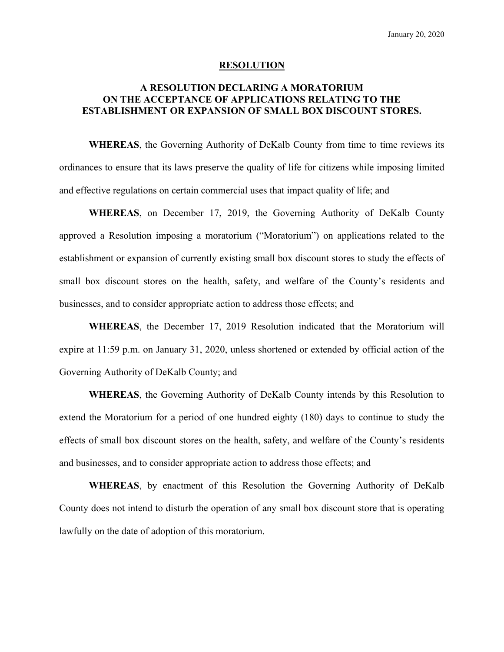#### **RESOLUTION**

## **A RESOLUTION DECLARING A MORATORIUM ON THE ACCEPTANCE OF APPLICATIONS RELATING TO THE ESTABLISHMENT OR EXPANSION OF SMALL BOX DISCOUNT STORES.**

**WHEREAS**, the Governing Authority of DeKalb County from time to time reviews its ordinances to ensure that its laws preserve the quality of life for citizens while imposing limited and effective regulations on certain commercial uses that impact quality of life; and

**WHEREAS**, on December 17, 2019, the Governing Authority of DeKalb County approved a Resolution imposing a moratorium ("Moratorium") on applications related to the establishment or expansion of currently existing small box discount stores to study the effects of small box discount stores on the health, safety, and welfare of the County's residents and businesses, and to consider appropriate action to address those effects; and

**WHEREAS**, the December 17, 2019 Resolution indicated that the Moratorium will expire at 11:59 p.m. on January 31, 2020, unless shortened or extended by official action of the Governing Authority of DeKalb County; and

**WHEREAS**, the Governing Authority of DeKalb County intends by this Resolution to extend the Moratorium for a period of one hundred eighty (180) days to continue to study the effects of small box discount stores on the health, safety, and welfare of the County's residents and businesses, and to consider appropriate action to address those effects; and

**WHEREAS**, by enactment of this Resolution the Governing Authority of DeKalb County does not intend to disturb the operation of any small box discount store that is operating lawfully on the date of adoption of this moratorium.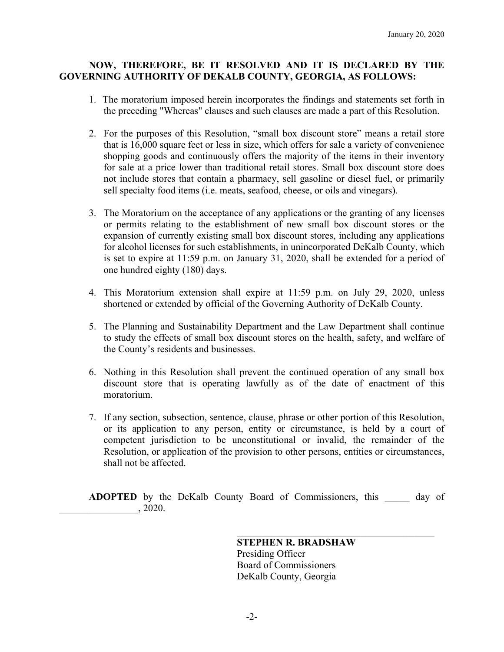## **NOW, THEREFORE, BE IT RESOLVED AND IT IS DECLARED BY THE GOVERNING AUTHORITY OF DEKALB COUNTY, GEORGIA, AS FOLLOWS:**

- 1. The moratorium imposed herein incorporates the findings and statements set forth in the preceding "Whereas" clauses and such clauses are made a part of this Resolution.
- 2. For the purposes of this Resolution, "small box discount store" means a retail store that is 16,000 square feet or less in size, which offers for sale a variety of convenience shopping goods and continuously offers the majority of the items in their inventory for sale at a price lower than traditional retail stores. Small box discount store does not include stores that contain a pharmacy, sell gasoline or diesel fuel, or primarily sell specialty food items (i.e. meats, seafood, cheese, or oils and vinegars).
- 3. The Moratorium on the acceptance of any applications or the granting of any licenses or permits relating to the establishment of new small box discount stores or the expansion of currently existing small box discount stores, including any applications for alcohol licenses for such establishments, in unincorporated DeKalb County, which is set to expire at 11:59 p.m. on January 31, 2020, shall be extended for a period of one hundred eighty (180) days.
- 4. This Moratorium extension shall expire at 11:59 p.m. on July 29, 2020, unless shortened or extended by official of the Governing Authority of DeKalb County.
- 5. The Planning and Sustainability Department and the Law Department shall continue to study the effects of small box discount stores on the health, safety, and welfare of the County's residents and businesses.
- 6. Nothing in this Resolution shall prevent the continued operation of any small box discount store that is operating lawfully as of the date of enactment of this moratorium.
- 7. If any section, subsection, sentence, clause, phrase or other portion of this Resolution, or its application to any person, entity or circumstance, is held by a court of competent jurisdiction to be unconstitutional or invalid, the remainder of the Resolution, or application of the provision to other persons, entities or circumstances, shall not be affected.

**ADOPTED** by the DeKalb County Board of Commissioners, this day of \_\_\_\_\_\_\_\_\_\_\_\_\_\_\_\_, 2020.

> **STEPHEN R. BRADSHAW**  Presiding Officer Board of Commissioners DeKalb County, Georgia